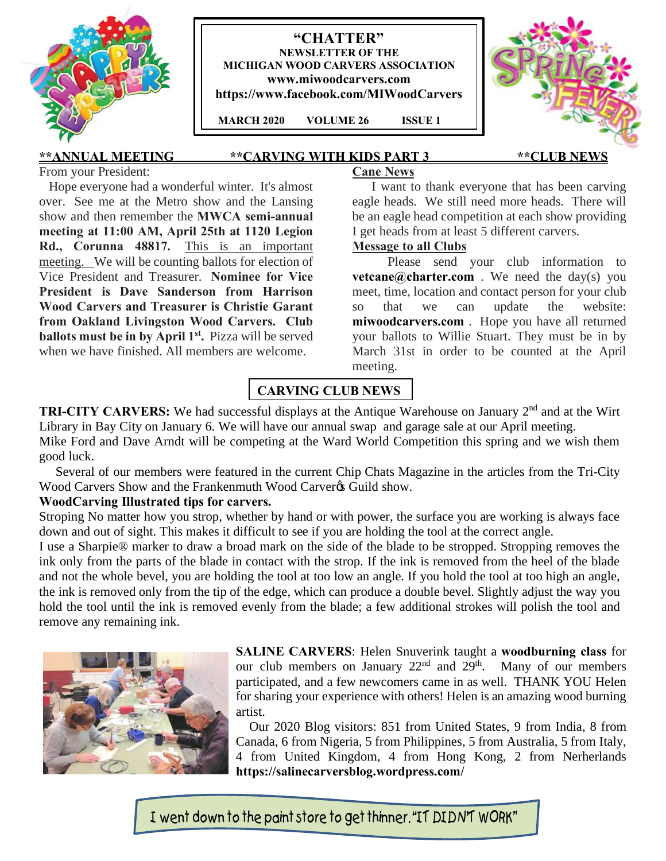

## **"CHATTER" NEWSLETTER OF THE MICHIGAN WOOD CARVERS ASSOCIATION www.miwoodcarvers.com https://www.facebook.com/MIWoodCarvers**

 **MARCH 2020 VOLUME 26 ISSUE 1**



# **\*\*ANNUAL MEETING \*\*CARVING WITH KIDS PART 3 \*\*CLUB NEWS**

From your President:

Hope everyone had a wonderful winter. It's almost over. See me at the Metro show and the Lansing show and then remember the **MWCA semi-annual meeting at 11:00 AM, April 25th at 1120 Legion Rd., Corunna 48817.** This is an important meeting. We will be counting ballots for election of Vice President and Treasurer. **Nominee for Vice President is Dave Sanderson from Harrison Wood Carvers and Treasurer is Christie Garant from Oakland Livingston Wood Carvers. Club ballots must be in by April 1st.** Pizza will be served when we have finished. All members are welcome.

## I want to thank everyone that has been carving eagle heads. We still need more heads. There will be an eagle head competition at each show providing I get heads from at least 5 different carvers.

## **Message to all Clubs**

**Cane News**

Please send your club information to **vetcane@charter.com** . We need the day(s) you meet, time, location and contact person for your club so that we can update the website: **miwoodcarvers.com** . Hope you have all returned your ballots to Willie Stuart. They must be in by March 31st in order to be counted at the April meeting.

# **CARVING CLUB NEWS**

**TRI-CITY CARVERS:** We had successful displays at the Antique Warehouse on January 2<sup>nd</sup> and at the Wirt Library in Bay City on January 6. We will have our annual swap and garage sale at our April meeting.

Mike Ford and Dave Arndt will be competing at the Ward World Competition this spring and we wish them good luck.

 Several of our members were featured in the current Chip Chats Magazine in the articles from the Tri-City Wood Carvers Show and the Frankenmuth Wood Carver $\alpha$  Guild show.

## **WoodCarving Illustrated tips for carvers.**

Stroping No matter how you strop, whether by hand or with power, the surface you are working is always face down and out of sight. This makes it difficult to see if you are holding the tool at the correct angle.

I use a Sharpie® marker to draw a broad mark on the side of the blade to be stropped. Stropping removes the ink only from the parts of the blade in contact with the strop. If the ink is removed from the heel of the blade and not the whole bevel, you are holding the tool at too low an angle. If you hold the tool at too high an angle, the ink is removed only from the tip of the edge, which can produce a double bevel. Slightly adjust the way you hold the tool until the ink is removed evenly from the blade; a few additional strokes will polish the tool and remove any remaining ink.



**SALINE CARVERS**: Helen Snuverink taught a **woodburning class** for our club members on January  $22<sup>nd</sup>$  and  $29<sup>th</sup>$ . Many of our members participated, and a few newcomers came in as well. THANK YOU Helen for sharing your experience with others! Helen is an amazing wood burning artist.

 Our 2020 Blog visitors: 851 from United States, 9 from India, 8 from Canada, 6 from Nigeria, 5 from Philippines, 5 from Australia, 5 from Italy, 4 from United Kingdom, 4 from Hong Kong, 2 from Nerherlands **https://salinecarversblog.wordpress.com/**

I went down to the paint store to get thinner. "IT DIDN'T WORK"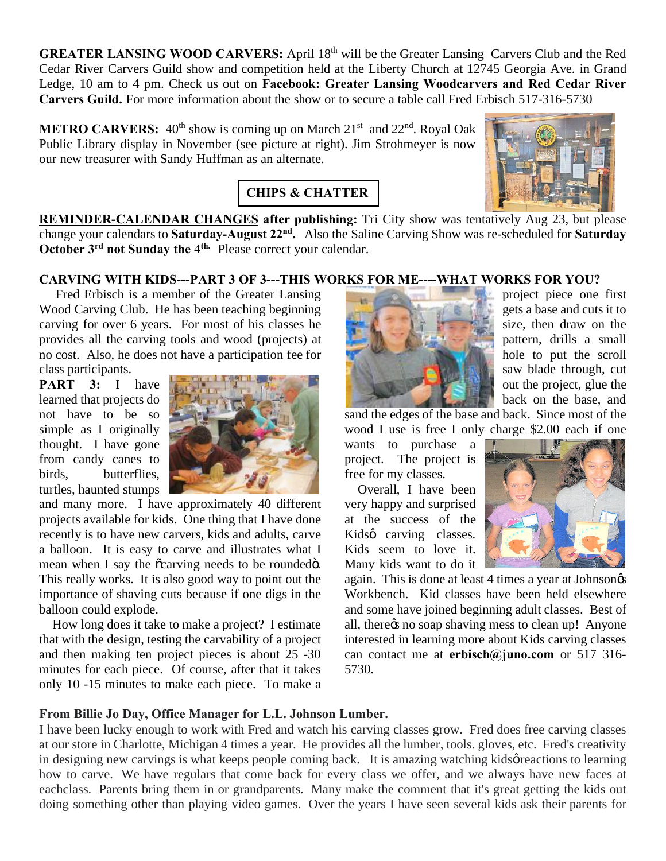**GREATER LANSING WOOD CARVERS:** April 18<sup>th</sup> will be the Greater Lansing Carvers Club and the Red Cedar River Carvers Guild show and competition held at the Liberty Church at 12745 Georgia Ave. in Grand Ledge, 10 am to 4 pm. Check us out on **Facebook: Greater Lansing Woodcarvers and Red Cedar River Carvers Guild.** For more information about the show or to secure a table call Fred Erbisch 517-316-5730

**METRO CARVERS:** 40<sup>th</sup> show is coming up on March 21<sup>st</sup> and 22<sup>nd</sup>. Royal Oak Public Library display in November (see picture at right). Jim Strohmeyer is now our new treasurer with Sandy Huffman as an alternate.



**REMINDER-CALENDAR CHANGES after publishing:** Tri City show was tentatively Aug 23, but please change your calendars to **Saturday-August 22nd.** Also the Saline Carving Show was re-scheduled for **Saturday October 3rd not Sunday the 4th.** Please correct your calendar.

## **CARVING WITH KIDS---PART 3 OF 3---THIS WORKS FOR ME----WHAT WORKS FOR YOU?**

**CHIPS & CHATTER**

 Fred Erbisch is a member of the Greater Lansing Wood Carving Club. He has been teaching beginning carving for over 6 years. For most of his classes he provides all the carving tools and wood (projects) at no cost. Also, he does not have a participation fee for class participants.

**PART 3:** I have learned that projects do not have to be so simple as I originally thought. I have gone from candy canes to birds, butterflies, turtles, haunted stumps



and many more. I have approximately 40 different projects available for kids. One thing that I have done recently is to have new carvers, kids and adults, carve a balloon. It is easy to carve and illustrates what I mean when I say the  $\tilde{c}$  carving needs to be rounded  $\ddot{o}$ . This really works. It is also good way to point out the importance of shaving cuts because if one digs in the balloon could explode.

 How long does it take to make a project? I estimate that with the design, testing the carvability of a project and then making ten project pieces is about 25 -30 minutes for each piece. Of course, after that it takes only 10 -15 minutes to make each piece. To make a



project piece one first gets a base and cuts it to size, then draw on the pattern, drills a small hole to put the scroll saw blade through, cut out the project, glue the back on the base, and

sand the edges of the base and back. Since most of the

wood I use is free I only charge \$2.00 each if one wants to purchase a project. The project is free for my classes.

 Overall, I have been very happy and surprised at the success of the Kidsø carving classes. Kids seem to love it. Many kids want to do it



again. This is done at least 4 times a year at Johnson Workbench. Kid classes have been held elsewhere and some have joined beginning adult classes. Best of all, there *n* soap shaving mess to clean up! Anyone interested in learning more about Kids carving classes can contact me at **erbisch@juno.com** or 517 316- 5730.

#### **From Billie Jo Day, Office Manager for L.L. Johnson Lumber.**

I have been lucky enough to work with Fred and watch his carving classes grow. Fred does free carving classes at our store in Charlotte, Michigan 4 times a year. He provides all the lumber, tools. gloves, etc. Fred's creativity in designing new carvings is what keeps people coming back. It is amazing watching kids preactions to learning how to carve. We have regulars that come back for every class we offer, and we always have new faces at eachclass. Parents bring them in or grandparents. Many make the comment that it's great getting the kids out doing something other than playing video games. Over the years I have seen several kids ask their parents for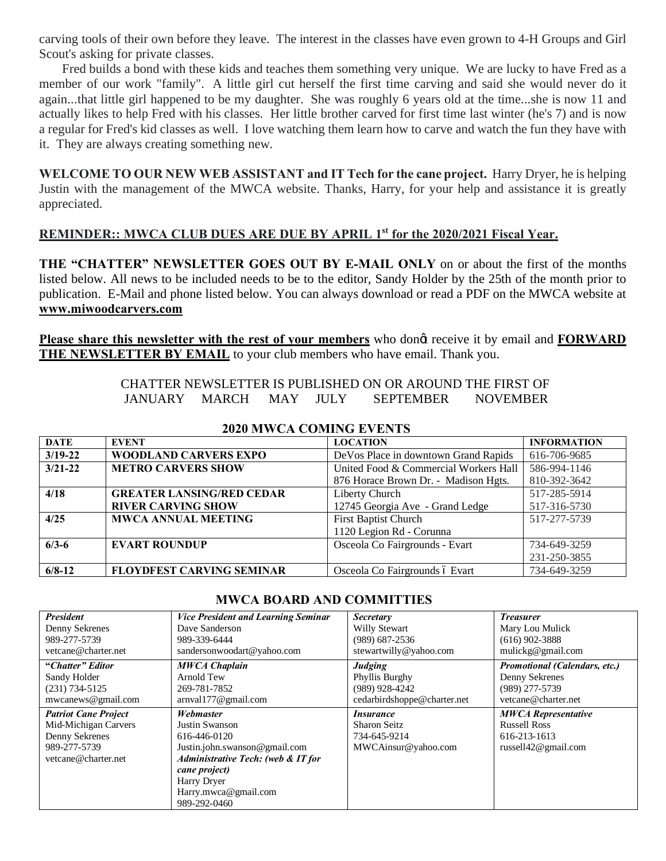carving tools of their own before they leave. The interest in the classes have even grown to 4-H Groups and Girl Scout's asking for private classes.

 Fred builds a bond with these kids and teaches them something very unique. We are lucky to have Fred as a member of our work "family". A little girl cut herself the first time carving and said she would never do it again...that little girl happened to be my daughter. She was roughly 6 years old at the time...she is now 11 and actually likes to help Fred with his classes. Her little brother carved for first time last winter (he's 7) and is now a regular for Fred's kid classes as well. I love watching them learn how to carve and watch the fun they have with it. They are always creating something new.

**WELCOME TO OUR NEW WEB ASSISTANT and IT Tech for the cane project.** Harry Dryer, he is helping Justin with the management of the MWCA website. Thanks, Harry, for your help and assistance it is greatly appreciated.

# **REMINDER:: MWCA CLUB DUES ARE DUE BY APRIL 1st for the 2020/2021 Fiscal Year.**

**THE "CHATTER" NEWSLETTER GOES OUT BY E-MAIL ONLY** on or about the first of the months listed below. All news to be included needs to be to the editor, Sandy Holder by the 25th of the month prior to publication. E-Mail and phone listed below. You can always download or read a PDF on the MWCA website at **www.miwoodcarvers.com**

**Please share this newsletter with the rest of your members** who dong receive it by email and **FORWARD** THE NEWSLETTER BY EMAIL to your club members who have email. Thank you.

> CHATTER NEWSLETTER IS PUBLISHED ON OR AROUND THE FIRST OF JANUARY MARCH MAY JULY SEPTEMBER NOVEMBER

| <b>DATE</b> | <b>EVENT</b>                     | <b>LOCATION</b>                       | <b>INFORMATION</b> |
|-------------|----------------------------------|---------------------------------------|--------------------|
| $3/19 - 22$ | <b>WOODLAND CARVERS EXPO</b>     | DeVos Place in downtown Grand Rapids  | 616-706-9685       |
| $3/21 - 22$ | <b>METRO CARVERS SHOW</b>        | United Food & Commercial Workers Hall | 586-994-1146       |
|             |                                  | 876 Horace Brown Dr. - Madison Hgts.  | 810-392-3642       |
| 4/18        | <b>GREATER LANSING/RED CEDAR</b> | Liberty Church                        | 517-285-5914       |
|             | <b>RIVER CARVING SHOW</b>        | 12745 Georgia Ave - Grand Ledge       | 517-316-5730       |
| 4/25        | <b>MWCA ANNUAL MEETING</b>       | First Baptist Church                  | 517-277-5739       |
|             |                                  | 1120 Legion Rd - Corunna              |                    |
| $6/3-6$     | <b>EVART ROUNDUP</b>             | Osceola Co Fairgrounds - Evart        | 734-649-3259       |
|             |                                  |                                       | 231-250-3855       |
| $6/8 - 12$  | <b>FLOYDFEST CARVING SEMINAR</b> | Osceola Co Fairgrounds ó Evart        | 734-649-3259       |

#### **2020 MWCA COMING EVENTS**

#### **MWCA BOARD AND COMMITTIES**

| <b>President</b>               | <b>Vice President and Learning Seminar</b><br>Dave Sanderson | <b>Secretary</b>                  | <b>Treasurer</b>                     |
|--------------------------------|--------------------------------------------------------------|-----------------------------------|--------------------------------------|
| Denny Sekrenes<br>989-277-5739 | 989-339-6444                                                 | Willy Stewart<br>$(989)$ 687-2536 | Mary Lou Mulick<br>$(616)$ 902-3888  |
| vetcane@charter.net            | sandersonwoodart@yahoo.com                                   | stewartwilly@yahoo.com            | mulickg@gmail.com                    |
|                                |                                                              |                                   |                                      |
| "Chatter" Editor               | <b>MWCA Chaplain</b>                                         | Judging                           | <b>Promotional (Calendars, etc.)</b> |
| Sandy Holder                   | Arnold Tew                                                   | Phyllis Burghy                    | Denny Sekrenes                       |
| $(231) 734 - 5125$             | 269-781-7852                                                 | (989) 928-4242                    | (989) 277-5739                       |
| mwcanews@gmail.com             | arnval177@gmail.com                                          | cedarbirdshoppe@charter.net       | vetcane@charter.net                  |
| <b>Patriot Cane Project</b>    | Webmaster                                                    | <i>Insurance</i>                  | <b>MWCA Representative</b>           |
| Mid-Michigan Carvers           | Justin Swanson                                               | <b>Sharon Seitz</b>               | <b>Russell Ross</b>                  |
| Denny Sekrenes                 | 616-446-0120                                                 | 734-645-9214                      | 616-213-1613                         |
| 989-277-5739                   | Justin.john.swanson@gmail.com                                | MWCAinsur@yahoo.com               | russell42@gmail.com                  |
| vetcane@charter.net            | <b>Administrative Tech: (web &amp; IT for</b>                |                                   |                                      |
|                                | cane project)                                                |                                   |                                      |
|                                | Harry Dryer                                                  |                                   |                                      |
|                                | Harry.mwca@gmail.com                                         |                                   |                                      |
|                                | 989-292-0460                                                 |                                   |                                      |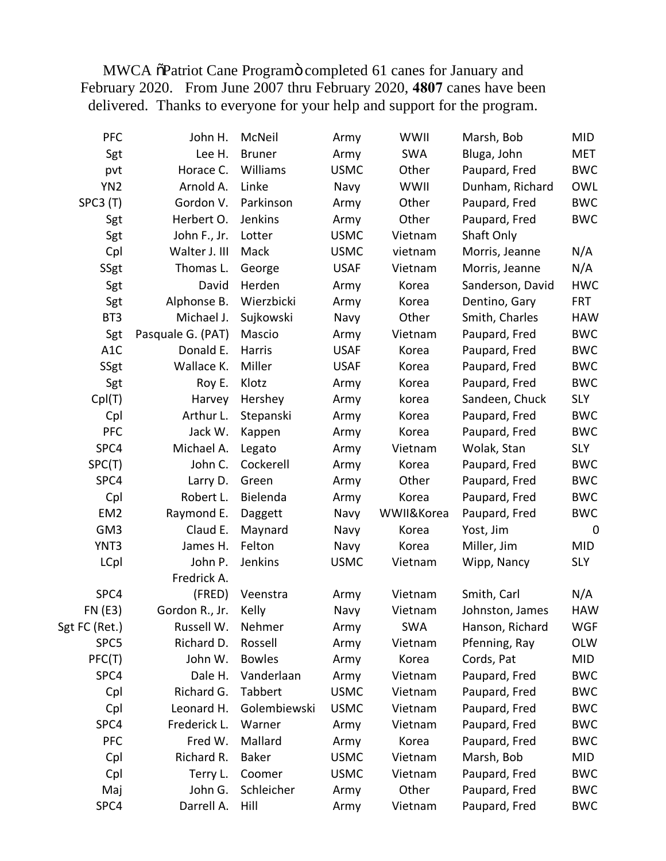MWCA  $\tilde{o}$ Patriot Cane Program $\ddot{o}$  completed 61 canes for January and February 2020. From June 2007 thru February 2020, **4807** canes have been delivered. Thanks to everyone for your help and support for the program.

| <b>PFC</b>       | John H.           | McNeil        | Army        | WWII       | Marsh, Bob       | MID         |
|------------------|-------------------|---------------|-------------|------------|------------------|-------------|
| Sgt              | Lee H.            | <b>Bruner</b> | Army        | <b>SWA</b> | Bluga, John      | MET         |
| pvt              | Horace C.         | Williams      | <b>USMC</b> | Other      | Paupard, Fred    | <b>BWC</b>  |
| YN <sub>2</sub>  | Arnold A.         | Linke         | Navy        | WWII       | Dunham, Richard  | <b>OWL</b>  |
| SPC3 (T)         | Gordon V.         | Parkinson     | Army        | Other      | Paupard, Fred    | <b>BWC</b>  |
| Sgt              | Herbert O.        | Jenkins       | Army        | Other      | Paupard, Fred    | <b>BWC</b>  |
| Sgt              | John F., Jr.      | Lotter        | <b>USMC</b> | Vietnam    | Shaft Only       |             |
| Cpl              | Walter J. III     | Mack          | <b>USMC</b> | vietnam    | Morris, Jeanne   | N/A         |
| SSgt             | Thomas L.         | George        | <b>USAF</b> | Vietnam    | Morris, Jeanne   | N/A         |
| Sgt              | David             | Herden        | Army        | Korea      | Sanderson, David | <b>HWC</b>  |
| Sgt              | Alphonse B.       | Wierzbicki    | Army        | Korea      | Dentino, Gary    | <b>FRT</b>  |
| BT3              | Michael J.        | Sujkowski     | Navy        | Other      | Smith, Charles   | <b>HAW</b>  |
| Sgt              | Pasquale G. (PAT) | Mascio        | Army        | Vietnam    | Paupard, Fred    | <b>BWC</b>  |
| A <sub>1</sub> C | Donald E.         | Harris        | <b>USAF</b> | Korea      | Paupard, Fred    | <b>BWC</b>  |
| SSgt             | Wallace K.        | Miller        | <b>USAF</b> | Korea      | Paupard, Fred    | <b>BWC</b>  |
| Sgt              | Roy E.            | Klotz         | Army        | Korea      | Paupard, Fred    | <b>BWC</b>  |
| Cpl(T)           | Harvey            | Hershey       | Army        | korea      | Sandeen, Chuck   | <b>SLY</b>  |
| Cpl              | Arthur L.         | Stepanski     | Army        | Korea      | Paupard, Fred    | <b>BWC</b>  |
| <b>PFC</b>       | Jack W.           | Kappen        | Army        | Korea      | Paupard, Fred    | <b>BWC</b>  |
| SPC4             | Michael A.        | Legato        | Army        | Vietnam    | Wolak, Stan      | <b>SLY</b>  |
| SPC(T)           | John C.           | Cockerell     | Army        | Korea      | Paupard, Fred    | <b>BWC</b>  |
| SPC4             | Larry D.          | Green         | Army        | Other      | Paupard, Fred    | <b>BWC</b>  |
| Cpl              | Robert L.         | Bielenda      | Army        | Korea      | Paupard, Fred    | <b>BWC</b>  |
| EM <sub>2</sub>  | Raymond E.        | Daggett       | Navy        | WWII&Korea | Paupard, Fred    | <b>BWC</b>  |
| GM <sub>3</sub>  | Claud E.          | Maynard       | Navy        | Korea      | Yost, Jim        | $\mathbf 0$ |
| YNT3             | James H.          | Felton        | Navy        | Korea      | Miller, Jim      | <b>MID</b>  |
| LCpl             | John P.           | Jenkins       | <b>USMC</b> | Vietnam    | Wipp, Nancy      | <b>SLY</b>  |
|                  | Fredrick A.       |               |             |            |                  |             |
| SPC4             | (FRED)            | Veenstra      | Army        | Vietnam    | Smith, Carl      | N/A         |
| <b>FN (E3)</b>   | Gordon R., Jr.    | Kelly         | Navy        | Vietnam    | Johnston, James  | <b>HAW</b>  |
| Sgt FC (Ret.)    | Russell W.        | Nehmer        | Army        | <b>SWA</b> | Hanson, Richard  | <b>WGF</b>  |
| SPC5             | Richard D.        | Rossell       | Army        | Vietnam    | Pfenning, Ray    | OLW         |
| PFC(T)           | John W.           | <b>Bowles</b> | Army        | Korea      | Cords, Pat       | MID         |
| SPC4             | Dale H.           | Vanderlaan    | Army        | Vietnam    | Paupard, Fred    | <b>BWC</b>  |
| Cpl              | Richard G.        | Tabbert       | <b>USMC</b> | Vietnam    | Paupard, Fred    | <b>BWC</b>  |
| Cpl              | Leonard H.        | Golembiewski  | <b>USMC</b> | Vietnam    | Paupard, Fred    | <b>BWC</b>  |
| SPC4             | Frederick L.      | Warner        | Army        | Vietnam    | Paupard, Fred    | <b>BWC</b>  |
| <b>PFC</b>       | Fred W.           | Mallard       | Army        | Korea      | Paupard, Fred    | <b>BWC</b>  |
| Cpl              | Richard R.        | <b>Baker</b>  | <b>USMC</b> | Vietnam    | Marsh, Bob       | MID         |
| Cpl              | Terry L.          | Coomer        | <b>USMC</b> | Vietnam    | Paupard, Fred    | <b>BWC</b>  |
| Maj              | John G.           | Schleicher    | Army        | Other      | Paupard, Fred    | <b>BWC</b>  |
| SPC4             | Darrell A.        | Hill          | Army        | Vietnam    | Paupard, Fred    | <b>BWC</b>  |